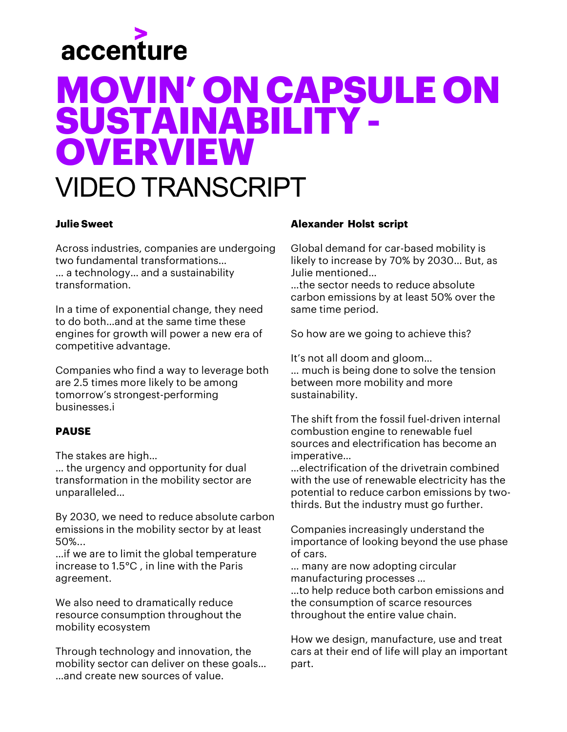

### **Julie Sweet**

Across industries, companies are undergoing two fundamental transformations… … a technology… and a sustainability transformation.

In a time of exponential change, they need to do both…and at the same time these engines for growth will power a new era of competitive advantage.

Companies who find a way to leverage both are 2.5 times more likely to be among tomorrow's strongest-performing businesses.i

### **PAUSE**

The stakes are high…

… the urgency and opportunity for dual transformation in the mobility sector are unparalleled…

By 2030, we need to reduce absolute carbon emissions in the mobility sector by at least 50%...

…if we are to limit the global temperature increase to 1.5°C , in line with the Paris agreement.

We also need to dramatically reduce resource consumption throughout the mobility ecosystem

Through technology and innovation, the mobility sector can deliver on these goals… …and create new sources of value.

### **Alexander Holst script**

Global demand for car-based mobility is likely to increase by 70% by 2030… But, as Julie mentioned…

…the sector needs to reduce absolute carbon emissions by at least 50% over the same time period.

So how are we going to achieve this?

It's not all doom and gloom…

… much is being done to solve the tension between more mobility and more sustainability.

The shift from the fossil fuel-driven internal combustion engine to renewable fuel sources and electrification has become an imperative…

…electrification of the drivetrain combined with the use of renewable electricity has the potential to reduce carbon emissions by twothirds. But the industry must go further.

Companies increasingly understand the importance of looking beyond the use phase of cars.

… many are now adopting circular manufacturing processes … …to help reduce both carbon emissions and the consumption of scarce resources throughout the entire value chain.

How we design, manufacture, use and treat cars at their end of life will play an important part.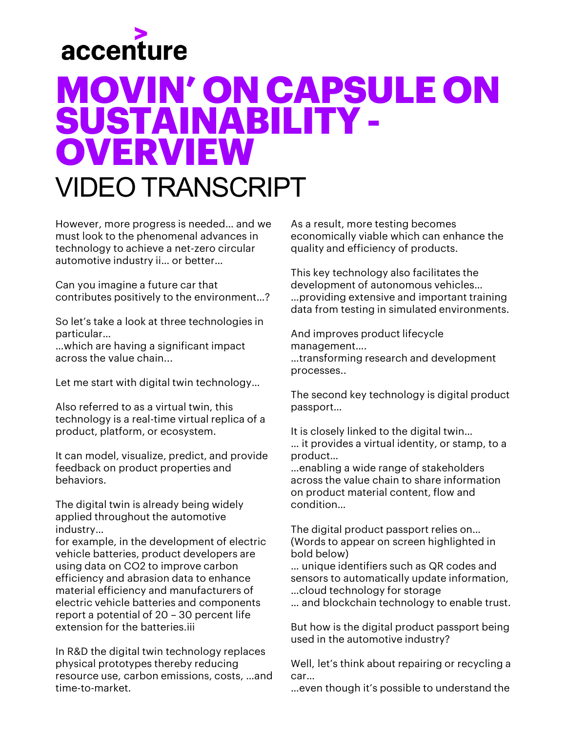

However, more progress is needed… and we must look to the phenomenal advances in technology to achieve a net-zero circular automotive industry ii… or better…

Can you imagine a future car that contributes positively to the environment…?

So let's take a look at three technologies in particular…

…which are having a significant impact across the value chain...

Let me start with digital twin technology…

Also referred to as a virtual twin, this technology is a real-time virtual replica of a product, platform, or ecosystem.

It can model, visualize, predict, and provide feedback on product properties and behaviors.

The digital twin is already being widely applied throughout the automotive industry…

for example, in the development of electric vehicle batteries, product developers are using data on CO2 to improve carbon efficiency and abrasion data to enhance material efficiency and manufacturers of electric vehicle batteries and components report a potential of 20 – 30 percent life extension for the batteries.iii

In R&D the digital twin technology replaces physical prototypes thereby reducing resource use, carbon emissions, costs, …and time-to-market.

As a result, more testing becomes economically viable which can enhance the quality and efficiency of products.

This key technology also facilitates the development of autonomous vehicles… …providing extensive and important training data from testing in simulated environments.

And improves product lifecycle management…. …transforming research and development processes..

The second key technology is digital product passport…

It is closely linked to the digital twin… … it provides a virtual identity, or stamp, to a product…

…enabling a wide range of stakeholders across the value chain to share information on product material content, flow and condition…

The digital product passport relies on… (Words to appear on screen highlighted in bold below)

… unique identifiers such as QR codes and sensors to automatically update information, …cloud technology for storage

… and blockchain technology to enable trust.

But how is the digital product passport being used in the automotive industry?

Well, let's think about repairing or recycling a car…

…even though it's possible to understand the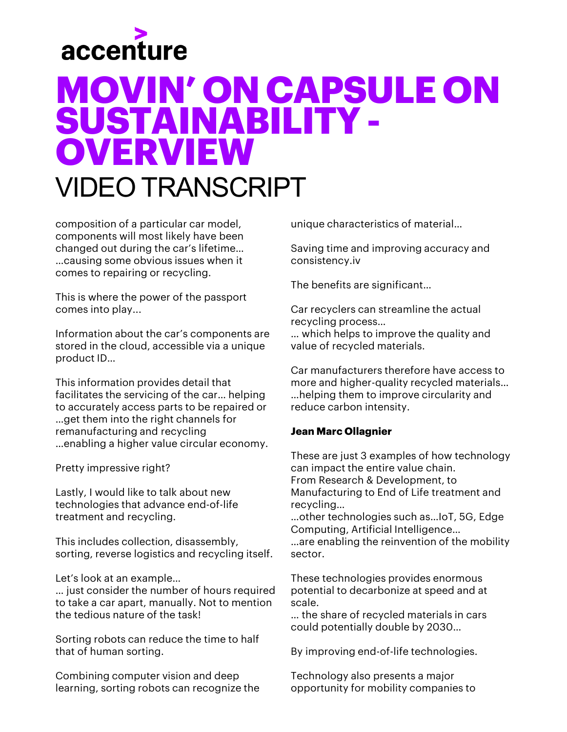

composition of a particular car model, components will most likely have been changed out during the car's lifetime… …causing some obvious issues when it comes to repairing or recycling.

This is where the power of the passport comes into play...

Information about the car's components are stored in the cloud, accessible via a unique product ID…

This information provides detail that facilitates the servicing of the car… helping to accurately access parts to be repaired or …get them into the right channels for remanufacturing and recycling …enabling a higher value circular economy.

Pretty impressive right?

Lastly, I would like to talk about new technologies that advance end-of-life treatment and recycling.

This includes collection, disassembly, sorting, reverse logistics and recycling itself.

Let's look at an example…

… just consider the number of hours required to take a car apart, manually. Not to mention the tedious nature of the task!

Sorting robots can reduce the time to half that of human sorting.

Combining computer vision and deep learning, sorting robots can recognize the unique characteristics of material…

Saving time and improving accuracy and consistency.iv

The benefits are significant…

Car recyclers can streamline the actual recycling process…

… which helps to improve the quality and value of recycled materials.

Car manufacturers therefore have access to more and higher-quality recycled materials... …helping them to improve circularity and reduce carbon intensity.

### **Jean Marc Ollagnier**

These are just 3 examples of how technology can impact the entire value chain. From Research & Development, to Manufacturing to End of Life treatment and recycling…

…other technologies such as…IoT, 5G, Edge Computing, Artificial Intelligence… …are enabling the reinvention of the mobility sector.

These technologies provides enormous potential to decarbonize at speed and at scale.

… the share of recycled materials in cars could potentially double by 2030…

By improving end-of-life technologies.

Technology also presents a major opportunity for mobility companies to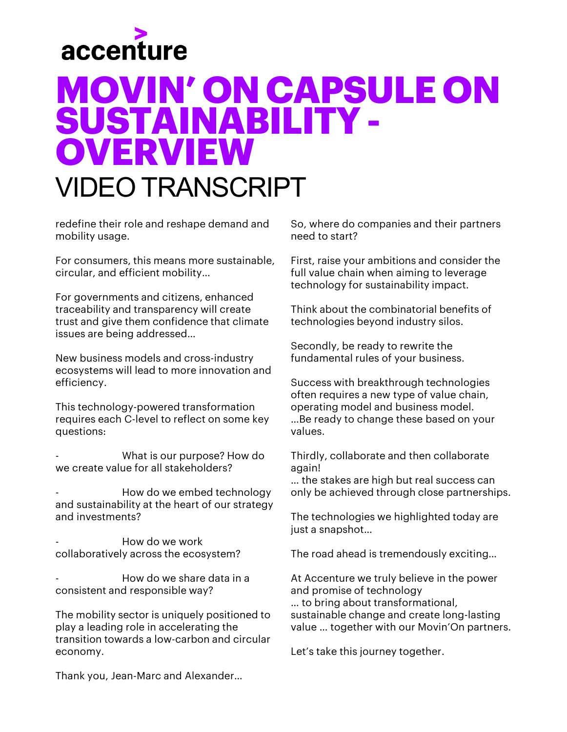

redefine their role and reshape demand and mobility usage.

For consumers, this means more sustainable, circular, and efficient mobility…

For governments and citizens, enhanced traceability and transparency will create trust and give them confidence that climate issues are being addressed…

New business models and cross-industry ecosystems will lead to more innovation and efficiency.

This technology-powered transformation requires each C-level to reflect on some key questions:

What is our purpose? How do we create value for all stakeholders?

- How do we embed technology and sustainability at the heart of our strategy and investments?

- How do we work collaboratively across the ecosystem?

- How do we share data in a consistent and responsible way?

The mobility sector is uniquely positioned to play a leading role in accelerating the transition towards a low-carbon and circular economy.

So, where do companies and their partners need to start?

First, raise your ambitions and consider the full value chain when aiming to leverage technology for sustainability impact.

Think about the combinatorial benefits of technologies beyond industry silos.

Secondly, be ready to rewrite the fundamental rules of your business.

Success with breakthrough technologies often requires a new type of value chain, operating model and business model. …Be ready to change these based on your values.

Thirdly, collaborate and then collaborate again!

… the stakes are high but real success can only be achieved through close partnerships.

The technologies we highlighted today are just a snapshot…

The road ahead is tremendously exciting…

At Accenture we truly believe in the power and promise of technology … to bring about transformational, sustainable change and create long-lasting value … together with our Movin'On partners.

Let's take this journey together.

Thank you, Jean-Marc and Alexander…